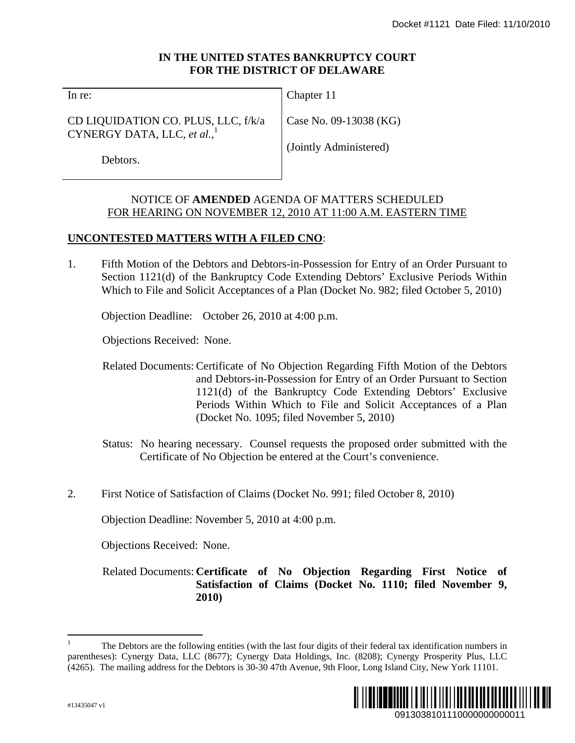# **IN THE UNITED STATES BANKRUPTCY COURT FOR THE DISTRICT OF DELAWARE**

In re:

CD LIQUIDATION CO. PLUS, LLC, f/k/a CYNERGY DATA, LLC, *et al.*, 1

Chapter 11

Case No. 09-13038 (KG)

Debtors.

(Jointly Administered)

# NOTICE OF **AMENDED** AGENDA OF MATTERS SCHEDULED FOR HEARING ON NOVEMBER 12, 2010 AT 11:00 A.M. EASTERN TIME

# **UNCONTESTED MATTERS WITH A FILED CNO**:

1. Fifth Motion of the Debtors and Debtors-in-Possession for Entry of an Order Pursuant to Section 1121(d) of the Bankruptcy Code Extending Debtors' Exclusive Periods Within Which to File and Solicit Acceptances of a Plan (Docket No. 982; filed October 5, 2010)

Objection Deadline: October 26, 2010 at 4:00 p.m.

Objections Received: None.

- Related Documents: Certificate of No Objection Regarding Fifth Motion of the Debtors and Debtors-in-Possession for Entry of an Order Pursuant to Section 1121(d) of the Bankruptcy Code Extending Debtors' Exclusive Periods Within Which to File and Solicit Acceptances of a Plan (Docket No. 1095; filed November 5, 2010) Docket #1121 Date Filed: 11/10/2010<br>
URT<br>
URT<br>
(1913)<br>
(1913)<br>
(1913)<br>
(1913)<br>
(1913)<br>
(1913)<br>
(1913)<br>
(1913)<br>
(1913)<br>
(1913)<br>
(1913)<br>
(1913)<br>
(1913)<br>
(1913)<br>
(1913)<br>
(1924)<br>
(1924)<br>
(1924)<br>
(1924)<br>
(1924)<br>
(1924)<br>
(1924)
- Status: No hearing necessary. Counsel requests the proposed order submitted with the Certificate of No Objection be entered at the Court's convenience.
- 2. First Notice of Satisfaction of Claims (Docket No. 991; filed October 8, 2010)

Objection Deadline: November 5, 2010 at 4:00 p.m.

Objections Received: None.

Related Documents: **Certificate of No Objection Regarding First Notice of Satisfaction of Claims (Docket No. 1110; filed November 9, 2010)**

<sup>1</sup> The Debtors are the following entities (with the last four digits of their federal tax identification numbers in parentheses): Cynergy Data, LLC (8677); Cynergy Data Holdings, Inc. (8208); Cynergy Prosperity Plus, LLC (4265). The mailing address for the Debtors is 30-30 47th Avenue, 9th Floor, Long Island City, New York 11101.



1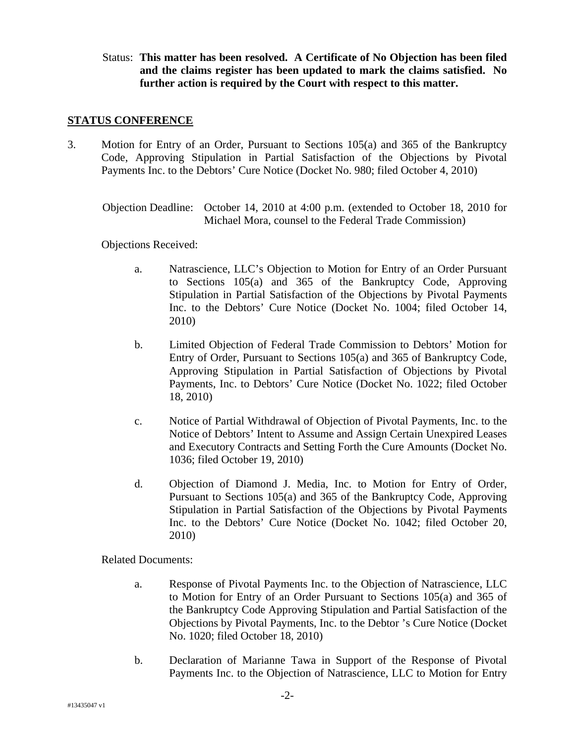Status: **This matter has been resolved. A Certificate of No Objection has been filed and the claims register has been updated to mark the claims satisfied. No further action is required by the Court with respect to this matter.** 

#### **STATUS CONFERENCE**

3. Motion for Entry of an Order, Pursuant to Sections 105(a) and 365 of the Bankruptcy Code, Approving Stipulation in Partial Satisfaction of the Objections by Pivotal Payments Inc. to the Debtors' Cure Notice (Docket No. 980; filed October 4, 2010)

Objection Deadline: October 14, 2010 at 4:00 p.m. (extended to October 18, 2010 for Michael Mora, counsel to the Federal Trade Commission)

Objections Received:

- a. Natrascience, LLC's Objection to Motion for Entry of an Order Pursuant to Sections 105(a) and 365 of the Bankruptcy Code, Approving Stipulation in Partial Satisfaction of the Objections by Pivotal Payments Inc. to the Debtors' Cure Notice (Docket No. 1004; filed October 14, 2010)
- b. Limited Objection of Federal Trade Commission to Debtors' Motion for Entry of Order, Pursuant to Sections 105(a) and 365 of Bankruptcy Code, Approving Stipulation in Partial Satisfaction of Objections by Pivotal Payments, Inc. to Debtors' Cure Notice (Docket No. 1022; filed October 18, 2010)
- c. Notice of Partial Withdrawal of Objection of Pivotal Payments, Inc. to the Notice of Debtors' Intent to Assume and Assign Certain Unexpired Leases and Executory Contracts and Setting Forth the Cure Amounts (Docket No. 1036; filed October 19, 2010)
- d. Objection of Diamond J. Media, Inc. to Motion for Entry of Order, Pursuant to Sections 105(a) and 365 of the Bankruptcy Code, Approving Stipulation in Partial Satisfaction of the Objections by Pivotal Payments Inc. to the Debtors' Cure Notice (Docket No. 1042; filed October 20, 2010)

- a. Response of Pivotal Payments Inc. to the Objection of Natrascience, LLC to Motion for Entry of an Order Pursuant to Sections 105(a) and 365 of the Bankruptcy Code Approving Stipulation and Partial Satisfaction of the Objections by Pivotal Payments, Inc. to the Debtor 's Cure Notice (Docket No. 1020; filed October 18, 2010)
- b. Declaration of Marianne Tawa in Support of the Response of Pivotal Payments Inc. to the Objection of Natrascience, LLC to Motion for Entry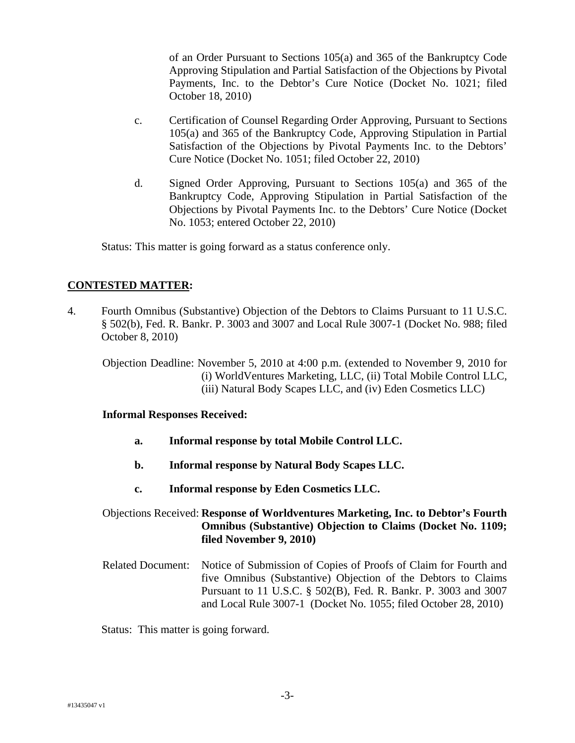of an Order Pursuant to Sections 105(a) and 365 of the Bankruptcy Code Approving Stipulation and Partial Satisfaction of the Objections by Pivotal Payments, Inc. to the Debtor's Cure Notice (Docket No. 1021; filed October 18, 2010)

- c. Certification of Counsel Regarding Order Approving, Pursuant to Sections 105(a) and 365 of the Bankruptcy Code, Approving Stipulation in Partial Satisfaction of the Objections by Pivotal Payments Inc. to the Debtors' Cure Notice (Docket No. 1051; filed October 22, 2010)
- d. Signed Order Approving, Pursuant to Sections 105(a) and 365 of the Bankruptcy Code, Approving Stipulation in Partial Satisfaction of the Objections by Pivotal Payments Inc. to the Debtors' Cure Notice (Docket No. 1053; entered October 22, 2010)

Status: This matter is going forward as a status conference only.

## **CONTESTED MATTER:**

4. Fourth Omnibus (Substantive) Objection of the Debtors to Claims Pursuant to 11 U.S.C. § 502(b), Fed. R. Bankr. P. 3003 and 3007 and Local Rule 3007-1 (Docket No. 988; filed October 8, 2010)

Objection Deadline: November 5, 2010 at 4:00 p.m. (extended to November 9, 2010 for (i) WorldVentures Marketing, LLC, (ii) Total Mobile Control LLC, (iii) Natural Body Scapes LLC, and (iv) Eden Cosmetics LLC)

#### **Informal Responses Received:**

- **a. Informal response by total Mobile Control LLC.**
- **b. Informal response by Natural Body Scapes LLC.**
- **c. Informal response by Eden Cosmetics LLC.**
- Objections Received: **Response of Worldventures Marketing, Inc. to Debtor's Fourth Omnibus (Substantive) Objection to Claims (Docket No. 1109; filed November 9, 2010)**
- Related Document: Notice of Submission of Copies of Proofs of Claim for Fourth and five Omnibus (Substantive) Objection of the Debtors to Claims Pursuant to 11 U.S.C. § 502(B), Fed. R. Bankr. P. 3003 and 3007 and Local Rule 3007-1 (Docket No. 1055; filed October 28, 2010)

Status: This matter is going forward.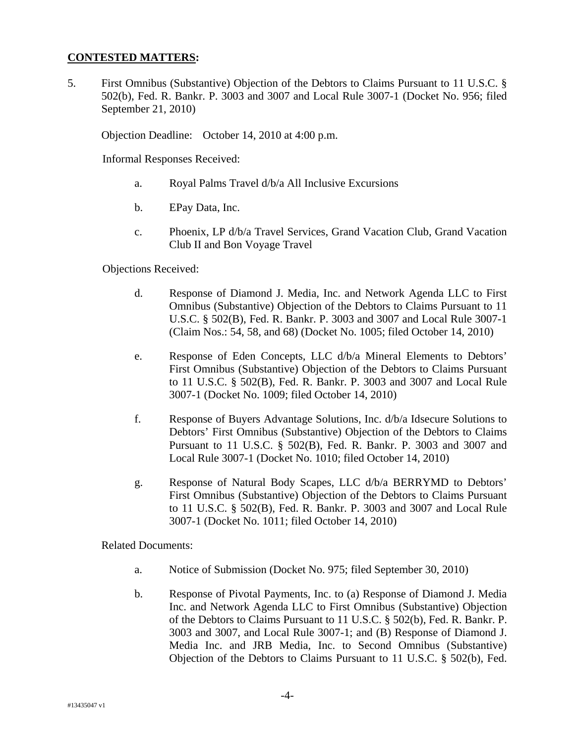#### **CONTESTED MATTERS:**

5. First Omnibus (Substantive) Objection of the Debtors to Claims Pursuant to 11 U.S.C. § 502(b), Fed. R. Bankr. P. 3003 and 3007 and Local Rule 3007-1 (Docket No. 956; filed September 21, 2010)

Objection Deadline: October 14, 2010 at 4:00 p.m.

Informal Responses Received:

- a. Royal Palms Travel d/b/a All Inclusive Excursions
- b. EPay Data, Inc.
- c. Phoenix, LP d/b/a Travel Services, Grand Vacation Club, Grand Vacation Club II and Bon Voyage Travel

Objections Received:

- d. Response of Diamond J. Media, Inc. and Network Agenda LLC to First Omnibus (Substantive) Objection of the Debtors to Claims Pursuant to 11 U.S.C. § 502(B), Fed. R. Bankr. P. 3003 and 3007 and Local Rule 3007-1 (Claim Nos.: 54, 58, and 68) (Docket No. 1005; filed October 14, 2010)
- e. Response of Eden Concepts, LLC d/b/a Mineral Elements to Debtors' First Omnibus (Substantive) Objection of the Debtors to Claims Pursuant to 11 U.S.C. § 502(B), Fed. R. Bankr. P. 3003 and 3007 and Local Rule 3007-1 (Docket No. 1009; filed October 14, 2010)
- f. Response of Buyers Advantage Solutions, Inc. d/b/a Idsecure Solutions to Debtors' First Omnibus (Substantive) Objection of the Debtors to Claims Pursuant to 11 U.S.C. § 502(B), Fed. R. Bankr. P. 3003 and 3007 and Local Rule 3007-1 (Docket No. 1010; filed October 14, 2010)
- g. Response of Natural Body Scapes, LLC d/b/a BERRYMD to Debtors' First Omnibus (Substantive) Objection of the Debtors to Claims Pursuant to 11 U.S.C. § 502(B), Fed. R. Bankr. P. 3003 and 3007 and Local Rule 3007-1 (Docket No. 1011; filed October 14, 2010)

- a. Notice of Submission (Docket No. 975; filed September 30, 2010)
- b. Response of Pivotal Payments, Inc. to (a) Response of Diamond J. Media Inc. and Network Agenda LLC to First Omnibus (Substantive) Objection of the Debtors to Claims Pursuant to 11 U.S.C. § 502(b), Fed. R. Bankr. P. 3003 and 3007, and Local Rule 3007-1; and (B) Response of Diamond J. Media Inc. and JRB Media, Inc. to Second Omnibus (Substantive) Objection of the Debtors to Claims Pursuant to 11 U.S.C. § 502(b), Fed.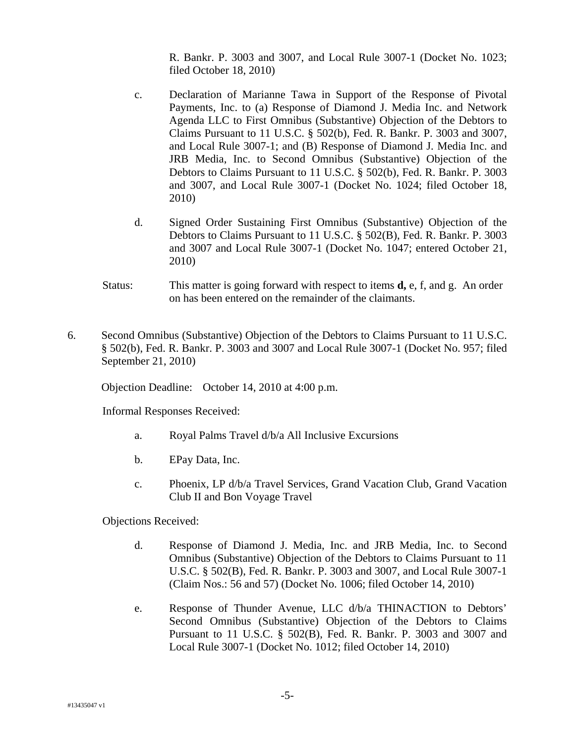R. Bankr. P. 3003 and 3007, and Local Rule 3007-1 (Docket No. 1023; filed October 18, 2010)

- c. Declaration of Marianne Tawa in Support of the Response of Pivotal Payments, Inc. to (a) Response of Diamond J. Media Inc. and Network Agenda LLC to First Omnibus (Substantive) Objection of the Debtors to Claims Pursuant to 11 U.S.C. § 502(b), Fed. R. Bankr. P. 3003 and 3007, and Local Rule 3007-1; and (B) Response of Diamond J. Media Inc. and JRB Media, Inc. to Second Omnibus (Substantive) Objection of the Debtors to Claims Pursuant to 11 U.S.C. § 502(b), Fed. R. Bankr. P. 3003 and 3007, and Local Rule 3007-1 (Docket No. 1024; filed October 18, 2010)
- d. Signed Order Sustaining First Omnibus (Substantive) Objection of the Debtors to Claims Pursuant to 11 U.S.C. § 502(B), Fed. R. Bankr. P. 3003 and 3007 and Local Rule 3007-1 (Docket No. 1047; entered October 21, 2010)
- Status: This matter is going forward with respect to items **d,** e, f, and g. An order on has been entered on the remainder of the claimants.
- 6. Second Omnibus (Substantive) Objection of the Debtors to Claims Pursuant to 11 U.S.C. § 502(b), Fed. R. Bankr. P. 3003 and 3007 and Local Rule 3007-1 (Docket No. 957; filed September 21, 2010)

Objection Deadline: October 14, 2010 at 4:00 p.m.

Informal Responses Received:

- a. Royal Palms Travel d/b/a All Inclusive Excursions
- b. EPay Data, Inc.
- c. Phoenix, LP d/b/a Travel Services, Grand Vacation Club, Grand Vacation Club II and Bon Voyage Travel

Objections Received:

- d. Response of Diamond J. Media, Inc. and JRB Media, Inc. to Second Omnibus (Substantive) Objection of the Debtors to Claims Pursuant to 11 U.S.C. § 502(B), Fed. R. Bankr. P. 3003 and 3007, and Local Rule 3007-1 (Claim Nos.: 56 and 57) (Docket No. 1006; filed October 14, 2010)
- e. Response of Thunder Avenue, LLC d/b/a THINACTION to Debtors' Second Omnibus (Substantive) Objection of the Debtors to Claims Pursuant to 11 U.S.C. § 502(B), Fed. R. Bankr. P. 3003 and 3007 and Local Rule 3007-1 (Docket No. 1012; filed October 14, 2010)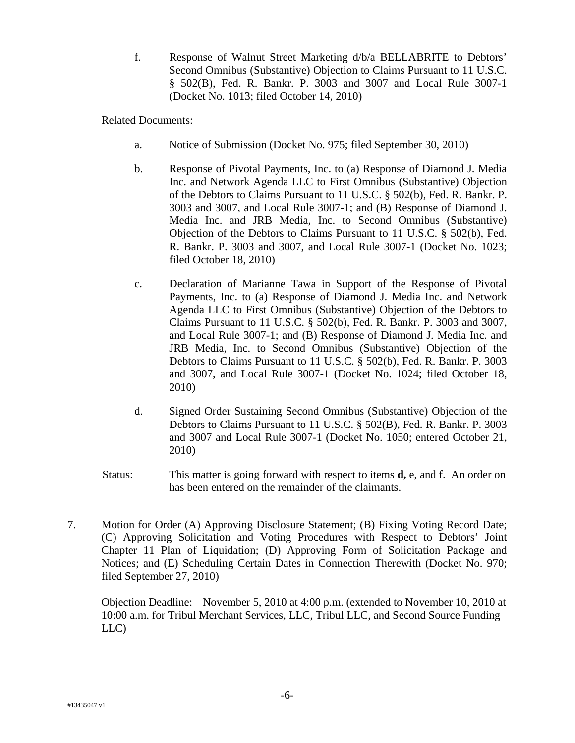f. Response of Walnut Street Marketing d/b/a BELLABRITE to Debtors' Second Omnibus (Substantive) Objection to Claims Pursuant to 11 U.S.C. § 502(B), Fed. R. Bankr. P. 3003 and 3007 and Local Rule 3007-1 (Docket No. 1013; filed October 14, 2010)

Related Documents:

- a. Notice of Submission (Docket No. 975; filed September 30, 2010)
- b. Response of Pivotal Payments, Inc. to (a) Response of Diamond J. Media Inc. and Network Agenda LLC to First Omnibus (Substantive) Objection of the Debtors to Claims Pursuant to 11 U.S.C. § 502(b), Fed. R. Bankr. P. 3003 and 3007, and Local Rule 3007-1; and (B) Response of Diamond J. Media Inc. and JRB Media, Inc. to Second Omnibus (Substantive) Objection of the Debtors to Claims Pursuant to 11 U.S.C. § 502(b), Fed. R. Bankr. P. 3003 and 3007, and Local Rule 3007-1 (Docket No. 1023; filed October 18, 2010)
- c. Declaration of Marianne Tawa in Support of the Response of Pivotal Payments, Inc. to (a) Response of Diamond J. Media Inc. and Network Agenda LLC to First Omnibus (Substantive) Objection of the Debtors to Claims Pursuant to 11 U.S.C. § 502(b), Fed. R. Bankr. P. 3003 and 3007, and Local Rule 3007-1; and (B) Response of Diamond J. Media Inc. and JRB Media, Inc. to Second Omnibus (Substantive) Objection of the Debtors to Claims Pursuant to 11 U.S.C. § 502(b), Fed. R. Bankr. P. 3003 and 3007, and Local Rule 3007-1 (Docket No. 1024; filed October 18, 2010)
- d. Signed Order Sustaining Second Omnibus (Substantive) Objection of the Debtors to Claims Pursuant to 11 U.S.C. § 502(B), Fed. R. Bankr. P. 3003 and 3007 and Local Rule 3007-1 (Docket No. 1050; entered October 21, 2010)
- Status: This matter is going forward with respect to items **d,** e, and f. An order on has been entered on the remainder of the claimants.
- 7. Motion for Order (A) Approving Disclosure Statement; (B) Fixing Voting Record Date; (C) Approving Solicitation and Voting Procedures with Respect to Debtors' Joint Chapter 11 Plan of Liquidation; (D) Approving Form of Solicitation Package and Notices; and (E) Scheduling Certain Dates in Connection Therewith (Docket No. 970; filed September 27, 2010)

Objection Deadline: November 5, 2010 at 4:00 p.m. (extended to November 10, 2010 at 10:00 a.m. for Tribul Merchant Services, LLC, Tribul LLC, and Second Source Funding LLC)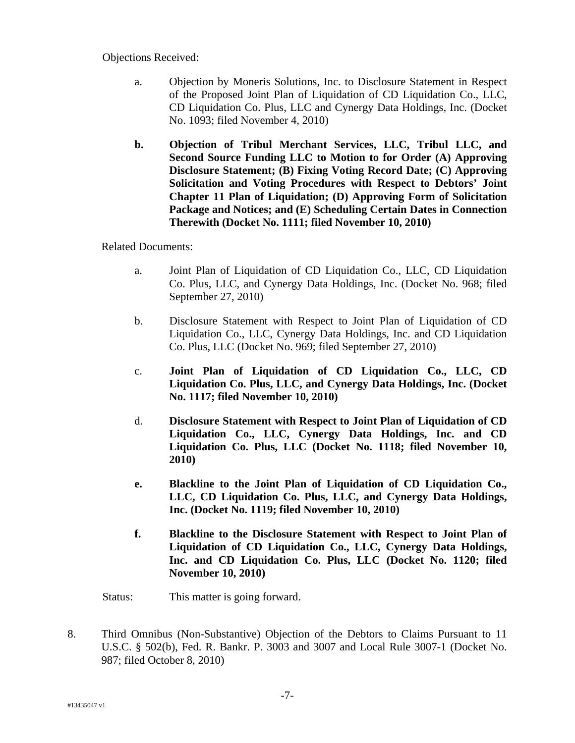Objections Received:

- a. Objection by Moneris Solutions, Inc. to Disclosure Statement in Respect of the Proposed Joint Plan of Liquidation of CD Liquidation Co., LLC, CD Liquidation Co. Plus, LLC and Cynergy Data Holdings, Inc. (Docket No. 1093; filed November 4, 2010)
- **b. Objection of Tribul Merchant Services, LLC, Tribul LLC, and Second Source Funding LLC to Motion to for Order (A) Approving Disclosure Statement; (B) Fixing Voting Record Date; (C) Approving Solicitation and Voting Procedures with Respect to Debtors' Joint Chapter 11 Plan of Liquidation; (D) Approving Form of Solicitation Package and Notices; and (E) Scheduling Certain Dates in Connection Therewith (Docket No. 1111; filed November 10, 2010)**

Related Documents:

- a. Joint Plan of Liquidation of CD Liquidation Co., LLC, CD Liquidation Co. Plus, LLC, and Cynergy Data Holdings, Inc. (Docket No. 968; filed September 27, 2010)
- b. Disclosure Statement with Respect to Joint Plan of Liquidation of CD Liquidation Co., LLC, Cynergy Data Holdings, Inc. and CD Liquidation Co. Plus, LLC (Docket No. 969; filed September 27, 2010)
- c. **Joint Plan of Liquidation of CD Liquidation Co., LLC, CD Liquidation Co. Plus, LLC, and Cynergy Data Holdings, Inc. (Docket No. 1117; filed November 10, 2010)**
- d. **Disclosure Statement with Respect to Joint Plan of Liquidation of CD Liquidation Co., LLC, Cynergy Data Holdings, Inc. and CD Liquidation Co. Plus, LLC (Docket No. 1118; filed November 10, 2010)**
- **e. Blackline to the Joint Plan of Liquidation of CD Liquidation Co., LLC, CD Liquidation Co. Plus, LLC, and Cynergy Data Holdings, Inc. (Docket No. 1119; filed November 10, 2010)**
- **f. Blackline to the Disclosure Statement with Respect to Joint Plan of Liquidation of CD Liquidation Co., LLC, Cynergy Data Holdings, Inc. and CD Liquidation Co. Plus, LLC (Docket No. 1120; filed November 10, 2010)**

Status: This matter is going forward.

8. Third Omnibus (Non-Substantive) Objection of the Debtors to Claims Pursuant to 11 U.S.C. § 502(b), Fed. R. Bankr. P. 3003 and 3007 and Local Rule 3007-1 (Docket No. 987; filed October 8, 2010)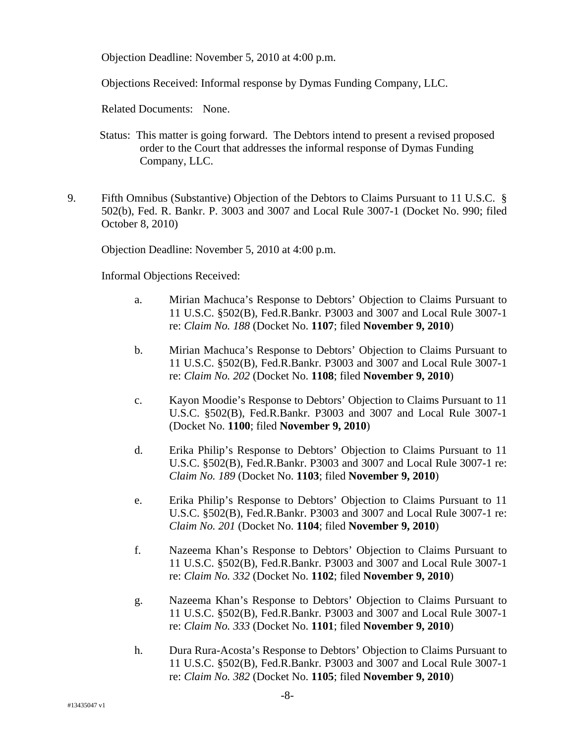Objection Deadline: November 5, 2010 at 4:00 p.m.

Objections Received: Informal response by Dymas Funding Company, LLC.

Related Documents: None.

- Status: This matter is going forward. The Debtors intend to present a revised proposed order to the Court that addresses the informal response of Dymas Funding Company, LLC.
- 9. Fifth Omnibus (Substantive) Objection of the Debtors to Claims Pursuant to 11 U.S.C. § 502(b), Fed. R. Bankr. P. 3003 and 3007 and Local Rule 3007-1 (Docket No. 990; filed October 8, 2010)

Objection Deadline: November 5, 2010 at 4:00 p.m.

Informal Objections Received:

- a. Mirian Machuca's Response to Debtors' Objection to Claims Pursuant to 11 U.S.C. §502(B), Fed.R.Bankr. P3003 and 3007 and Local Rule 3007-1 re: *Claim No. 188* (Docket No. **1107**; filed **November 9, 2010**)
- b. Mirian Machuca's Response to Debtors' Objection to Claims Pursuant to 11 U.S.C. §502(B), Fed.R.Bankr. P3003 and 3007 and Local Rule 3007-1 re: *Claim No. 202* (Docket No. **1108**; filed **November 9, 2010**)
- c. Kayon Moodie's Response to Debtors' Objection to Claims Pursuant to 11 U.S.C. §502(B), Fed.R.Bankr. P3003 and 3007 and Local Rule 3007-1 (Docket No. **1100**; filed **November 9, 2010**)
- d. Erika Philip's Response to Debtors' Objection to Claims Pursuant to 11 U.S.C. §502(B), Fed.R.Bankr. P3003 and 3007 and Local Rule 3007-1 re: *Claim No. 189* (Docket No. **1103**; filed **November 9, 2010**)
- e. Erika Philip's Response to Debtors' Objection to Claims Pursuant to 11 U.S.C. §502(B), Fed.R.Bankr. P3003 and 3007 and Local Rule 3007-1 re: *Claim No. 201* (Docket No. **1104**; filed **November 9, 2010**)
- f. Nazeema Khan's Response to Debtors' Objection to Claims Pursuant to 11 U.S.C. §502(B), Fed.R.Bankr. P3003 and 3007 and Local Rule 3007-1 re: *Claim No. 332* (Docket No. **1102**; filed **November 9, 2010**)
- g. Nazeema Khan's Response to Debtors' Objection to Claims Pursuant to 11 U.S.C. §502(B), Fed.R.Bankr. P3003 and 3007 and Local Rule 3007-1 re: *Claim No. 333* (Docket No. **1101**; filed **November 9, 2010**)
- h. Dura Rura-Acosta's Response to Debtors' Objection to Claims Pursuant to 11 U.S.C. §502(B), Fed.R.Bankr. P3003 and 3007 and Local Rule 3007-1 re: *Claim No. 382* (Docket No. **1105**; filed **November 9, 2010**)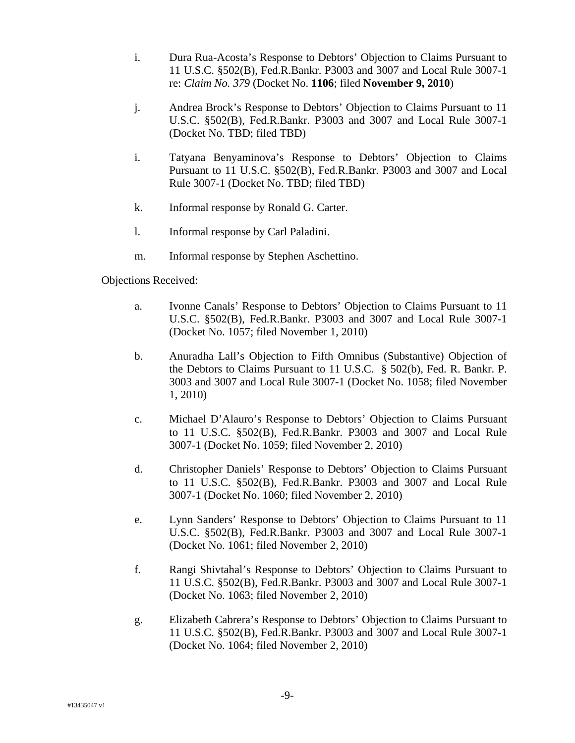- i. Dura Rua-Acosta's Response to Debtors' Objection to Claims Pursuant to 11 U.S.C. §502(B), Fed.R.Bankr. P3003 and 3007 and Local Rule 3007-1 re: *Claim No. 379* (Docket No. **1106**; filed **November 9, 2010**)
- j. Andrea Brock's Response to Debtors' Objection to Claims Pursuant to 11 U.S.C. §502(B), Fed.R.Bankr. P3003 and 3007 and Local Rule 3007-1 (Docket No. TBD; filed TBD)
- i. Tatyana Benyaminova's Response to Debtors' Objection to Claims Pursuant to 11 U.S.C. §502(B), Fed.R.Bankr. P3003 and 3007 and Local Rule 3007-1 (Docket No. TBD; filed TBD)
- k. Informal response by Ronald G. Carter.
- l. Informal response by Carl Paladini.
- m. Informal response by Stephen Aschettino.

Objections Received:

- a. Ivonne Canals' Response to Debtors' Objection to Claims Pursuant to 11 U.S.C. §502(B), Fed.R.Bankr. P3003 and 3007 and Local Rule 3007-1 (Docket No. 1057; filed November 1, 2010)
- b. Anuradha Lall's Objection to Fifth Omnibus (Substantive) Objection of the Debtors to Claims Pursuant to 11 U.S.C. § 502(b), Fed. R. Bankr. P. 3003 and 3007 and Local Rule 3007-1 (Docket No. 1058; filed November 1, 2010)
- c. Michael D'Alauro's Response to Debtors' Objection to Claims Pursuant to 11 U.S.C. §502(B), Fed.R.Bankr. P3003 and 3007 and Local Rule 3007-1 (Docket No. 1059; filed November 2, 2010)
- d. Christopher Daniels' Response to Debtors' Objection to Claims Pursuant to 11 U.S.C. §502(B), Fed.R.Bankr. P3003 and 3007 and Local Rule 3007-1 (Docket No. 1060; filed November 2, 2010)
- e. Lynn Sanders' Response to Debtors' Objection to Claims Pursuant to 11 U.S.C. §502(B), Fed.R.Bankr. P3003 and 3007 and Local Rule 3007-1 (Docket No. 1061; filed November 2, 2010)
- f. Rangi Shivtahal's Response to Debtors' Objection to Claims Pursuant to 11 U.S.C. §502(B), Fed.R.Bankr. P3003 and 3007 and Local Rule 3007-1 (Docket No. 1063; filed November 2, 2010)
- g. Elizabeth Cabrera's Response to Debtors' Objection to Claims Pursuant to 11 U.S.C. §502(B), Fed.R.Bankr. P3003 and 3007 and Local Rule 3007-1 (Docket No. 1064; filed November 2, 2010)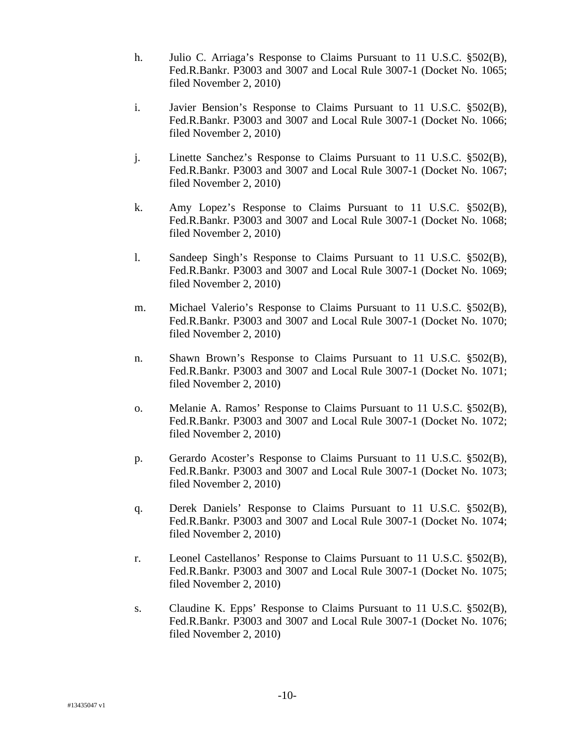- h. Julio C. Arriaga's Response to Claims Pursuant to 11 U.S.C. §502(B), Fed.R.Bankr. P3003 and 3007 and Local Rule 3007-1 (Docket No. 1065; filed November 2, 2010)
- i. Javier Bension's Response to Claims Pursuant to 11 U.S.C. §502(B), Fed.R.Bankr. P3003 and 3007 and Local Rule 3007-1 (Docket No. 1066; filed November 2, 2010)
- j. Linette Sanchez's Response to Claims Pursuant to 11 U.S.C. §502(B), Fed.R.Bankr. P3003 and 3007 and Local Rule 3007-1 (Docket No. 1067; filed November 2, 2010)
- k. Amy Lopez's Response to Claims Pursuant to 11 U.S.C. §502(B), Fed.R.Bankr. P3003 and 3007 and Local Rule 3007-1 (Docket No. 1068; filed November 2, 2010)
- l. Sandeep Singh's Response to Claims Pursuant to 11 U.S.C. §502(B), Fed.R.Bankr. P3003 and 3007 and Local Rule 3007-1 (Docket No. 1069; filed November 2, 2010)
- m. Michael Valerio's Response to Claims Pursuant to 11 U.S.C. §502(B), Fed.R.Bankr. P3003 and 3007 and Local Rule 3007-1 (Docket No. 1070; filed November 2, 2010)
- n. Shawn Brown's Response to Claims Pursuant to 11 U.S.C. §502(B), Fed.R.Bankr. P3003 and 3007 and Local Rule 3007-1 (Docket No. 1071; filed November 2, 2010)
- o. Melanie A. Ramos' Response to Claims Pursuant to 11 U.S.C. §502(B), Fed.R.Bankr. P3003 and 3007 and Local Rule 3007-1 (Docket No. 1072; filed November 2, 2010)
- p. Gerardo Acoster's Response to Claims Pursuant to 11 U.S.C. §502(B), Fed.R.Bankr. P3003 and 3007 and Local Rule 3007-1 (Docket No. 1073; filed November 2, 2010)
- q. Derek Daniels' Response to Claims Pursuant to 11 U.S.C. §502(B), Fed.R.Bankr. P3003 and 3007 and Local Rule 3007-1 (Docket No. 1074; filed November 2, 2010)
- r. Leonel Castellanos' Response to Claims Pursuant to 11 U.S.C. §502(B), Fed.R.Bankr. P3003 and 3007 and Local Rule 3007-1 (Docket No. 1075; filed November 2, 2010)
- s. Claudine K. Epps' Response to Claims Pursuant to 11 U.S.C. §502(B), Fed.R.Bankr. P3003 and 3007 and Local Rule 3007-1 (Docket No. 1076; filed November 2, 2010)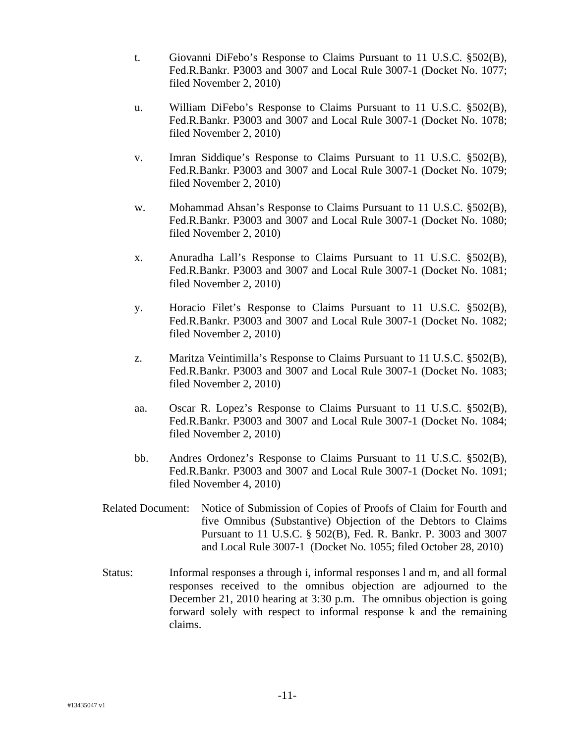- t. Giovanni DiFebo's Response to Claims Pursuant to 11 U.S.C. §502(B), Fed.R.Bankr. P3003 and 3007 and Local Rule 3007-1 (Docket No. 1077; filed November 2, 2010)
- u. William DiFebo's Response to Claims Pursuant to 11 U.S.C. §502(B), Fed.R.Bankr. P3003 and 3007 and Local Rule 3007-1 (Docket No. 1078; filed November 2, 2010)
- v. Imran Siddique's Response to Claims Pursuant to 11 U.S.C. §502(B), Fed.R.Bankr. P3003 and 3007 and Local Rule 3007-1 (Docket No. 1079; filed November 2, 2010)
- w. Mohammad Ahsan's Response to Claims Pursuant to 11 U.S.C. §502(B), Fed.R.Bankr. P3003 and 3007 and Local Rule 3007-1 (Docket No. 1080; filed November 2, 2010)
- x. Anuradha Lall's Response to Claims Pursuant to 11 U.S.C. §502(B), Fed.R.Bankr. P3003 and 3007 and Local Rule 3007-1 (Docket No. 1081; filed November 2, 2010)
- y. Horacio Filet's Response to Claims Pursuant to 11 U.S.C. §502(B), Fed.R.Bankr. P3003 and 3007 and Local Rule 3007-1 (Docket No. 1082; filed November 2, 2010)
- z. Maritza Veintimilla's Response to Claims Pursuant to 11 U.S.C. §502(B), Fed.R.Bankr. P3003 and 3007 and Local Rule 3007-1 (Docket No. 1083; filed November 2, 2010)
- aa. Oscar R. Lopez's Response to Claims Pursuant to 11 U.S.C. §502(B), Fed.R.Bankr. P3003 and 3007 and Local Rule 3007-1 (Docket No. 1084; filed November 2, 2010)
- bb. Andres Ordonez's Response to Claims Pursuant to 11 U.S.C. §502(B), Fed.R.Bankr. P3003 and 3007 and Local Rule 3007-1 (Docket No. 1091; filed November 4, 2010)
- Related Document: Notice of Submission of Copies of Proofs of Claim for Fourth and five Omnibus (Substantive) Objection of the Debtors to Claims Pursuant to 11 U.S.C. § 502(B), Fed. R. Bankr. P. 3003 and 3007 and Local Rule 3007-1 (Docket No. 1055; filed October 28, 2010)
- Status: Informal responses a through i, informal responses l and m, and all formal responses received to the omnibus objection are adjourned to the December 21, 2010 hearing at 3:30 p.m. The omnibus objection is going forward solely with respect to informal response k and the remaining claims.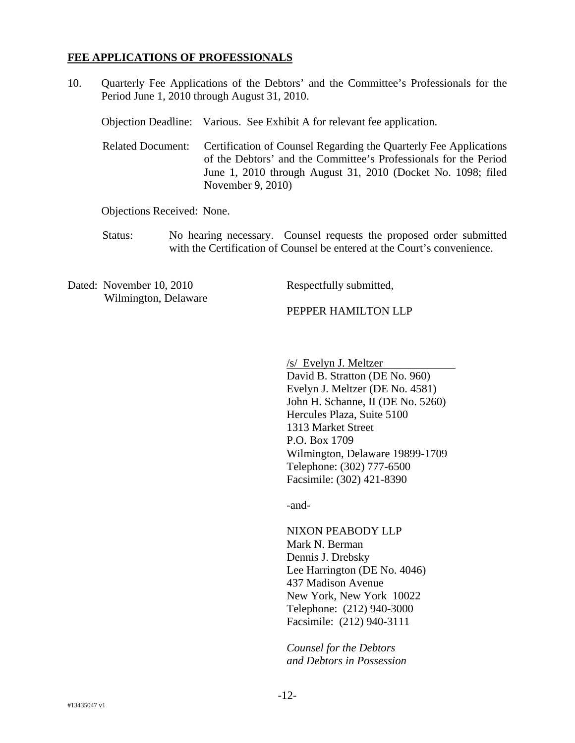#### **FEE APPLICATIONS OF PROFESSIONALS**

10. Quarterly Fee Applications of the Debtors' and the Committee's Professionals for the Period June 1, 2010 through August 31, 2010.

| Objection Deadline: Various. See Exhibit A for relevant fee application.                                                                                                                                                                     |
|----------------------------------------------------------------------------------------------------------------------------------------------------------------------------------------------------------------------------------------------|
| Related Document: Certification of Counsel Regarding the Quarterly Fee Applications<br>of the Debtors' and the Committee's Professionals for the Period<br>June 1, 2010 through August 31, 2010 (Docket No. 1098; filed<br>November 9, 2010) |

Objections Received: None.

Status: No hearing necessary. Counsel requests the proposed order submitted with the Certification of Counsel be entered at the Court's convenience.

Dated: November 10, 2010 Wilmington, Delaware Respectfully submitted,

PEPPER HAMILTON LLP

/s/ Evelyn J. Meltzer

David B. Stratton (DE No. 960) Evelyn J. Meltzer (DE No. 4581) John H. Schanne, II (DE No. 5260) Hercules Plaza, Suite 5100 1313 Market Street P.O. Box 1709 Wilmington, Delaware 19899-1709 Telephone: (302) 777-6500 Facsimile: (302) 421-8390

-and-

NIXON PEABODY LLP Mark N. Berman Dennis J. Drebsky Lee Harrington (DE No. 4046) 437 Madison Avenue New York, New York 10022 Telephone: (212) 940-3000 Facsimile: (212) 940-3111

*Counsel for the Debtors and Debtors in Possession*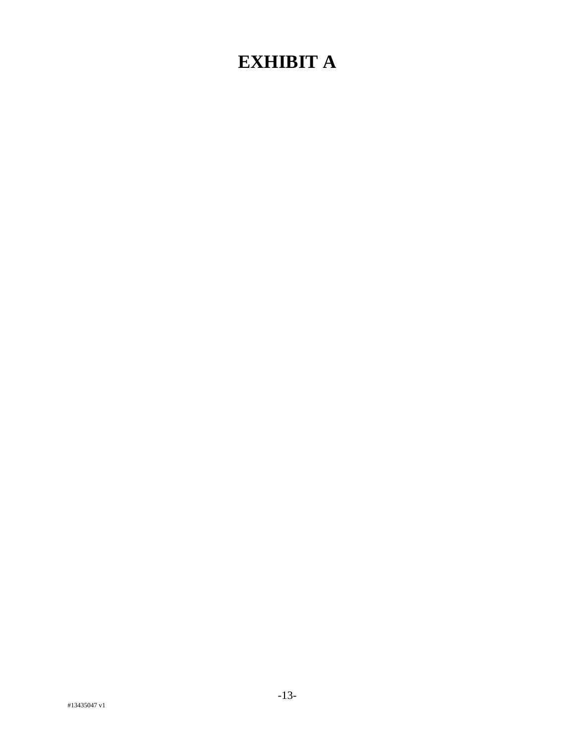# **EXHIBIT A**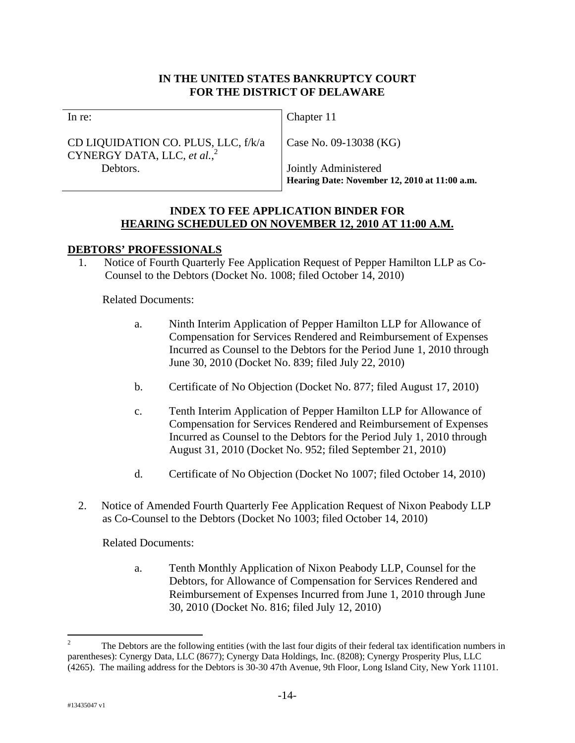## **IN THE UNITED STATES BANKRUPTCY COURT FOR THE DISTRICT OF DELAWARE**

In re:

CD LIQUIDATION CO. PLUS, LLC, f/k/a CYNERGY DATA, LLC, *et al.*, 2 Debtors.

Chapter 11

Case No. 09-13038 (KG)

Jointly Administered **Hearing Date: November 12, 2010 at 11:00 a.m.** 

#### **INDEX TO FEE APPLICATION BINDER FOR HEARING SCHEDULED ON NOVEMBER 12, 2010 AT 11:00 A.M.**

## **DEBTORS' PROFESSIONALS**

1. Notice of Fourth Quarterly Fee Application Request of Pepper Hamilton LLP as Co-Counsel to the Debtors (Docket No. 1008; filed October 14, 2010)

Related Documents:

- a. Ninth Interim Application of Pepper Hamilton LLP for Allowance of Compensation for Services Rendered and Reimbursement of Expenses Incurred as Counsel to the Debtors for the Period June 1, 2010 through June 30, 2010 (Docket No. 839; filed July 22, 2010)
- b. Certificate of No Objection (Docket No. 877; filed August 17, 2010)
- c. Tenth Interim Application of Pepper Hamilton LLP for Allowance of Compensation for Services Rendered and Reimbursement of Expenses Incurred as Counsel to the Debtors for the Period July 1, 2010 through August 31, 2010 (Docket No. 952; filed September 21, 2010)
- d. Certificate of No Objection (Docket No 1007; filed October 14, 2010)
- 2. Notice of Amended Fourth Quarterly Fee Application Request of Nixon Peabody LLP as Co-Counsel to the Debtors (Docket No 1003; filed October 14, 2010)

Related Documents:

a. Tenth Monthly Application of Nixon Peabody LLP, Counsel for the Debtors, for Allowance of Compensation for Services Rendered and Reimbursement of Expenses Incurred from June 1, 2010 through June 30, 2010 (Docket No. 816; filed July 12, 2010)

 $\frac{1}{2}$  The Debtors are the following entities (with the last four digits of their federal tax identification numbers in parentheses): Cynergy Data, LLC (8677); Cynergy Data Holdings, Inc. (8208); Cynergy Prosperity Plus, LLC (4265). The mailing address for the Debtors is 30-30 47th Avenue, 9th Floor, Long Island City, New York 11101.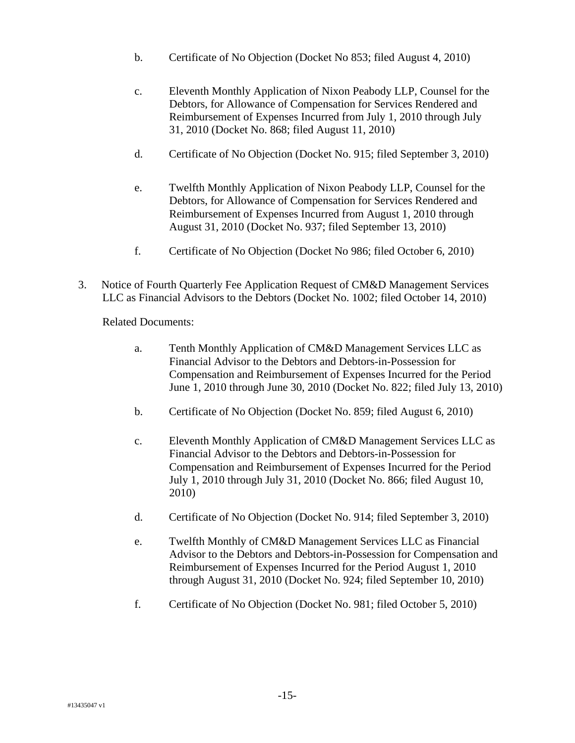- b. Certificate of No Objection (Docket No 853; filed August 4, 2010)
- c. Eleventh Monthly Application of Nixon Peabody LLP, Counsel for the Debtors, for Allowance of Compensation for Services Rendered and Reimbursement of Expenses Incurred from July 1, 2010 through July 31, 2010 (Docket No. 868; filed August 11, 2010)
- d. Certificate of No Objection (Docket No. 915; filed September 3, 2010)
- e. Twelfth Monthly Application of Nixon Peabody LLP, Counsel for the Debtors, for Allowance of Compensation for Services Rendered and Reimbursement of Expenses Incurred from August 1, 2010 through August 31, 2010 (Docket No. 937; filed September 13, 2010)
- f. Certificate of No Objection (Docket No 986; filed October 6, 2010)
- 3. Notice of Fourth Quarterly Fee Application Request of CM&D Management Services LLC as Financial Advisors to the Debtors (Docket No. 1002; filed October 14, 2010)

- a. Tenth Monthly Application of CM&D Management Services LLC as Financial Advisor to the Debtors and Debtors-in-Possession for Compensation and Reimbursement of Expenses Incurred for the Period June 1, 2010 through June 30, 2010 (Docket No. 822; filed July 13, 2010)
- b. Certificate of No Objection (Docket No. 859; filed August 6, 2010)
- c. Eleventh Monthly Application of CM&D Management Services LLC as Financial Advisor to the Debtors and Debtors-in-Possession for Compensation and Reimbursement of Expenses Incurred for the Period July 1, 2010 through July 31, 2010 (Docket No. 866; filed August 10, 2010)
- d. Certificate of No Objection (Docket No. 914; filed September 3, 2010)
- e. Twelfth Monthly of CM&D Management Services LLC as Financial Advisor to the Debtors and Debtors-in-Possession for Compensation and Reimbursement of Expenses Incurred for the Period August 1, 2010 through August 31, 2010 (Docket No. 924; filed September 10, 2010)
- f. Certificate of No Objection (Docket No. 981; filed October 5, 2010)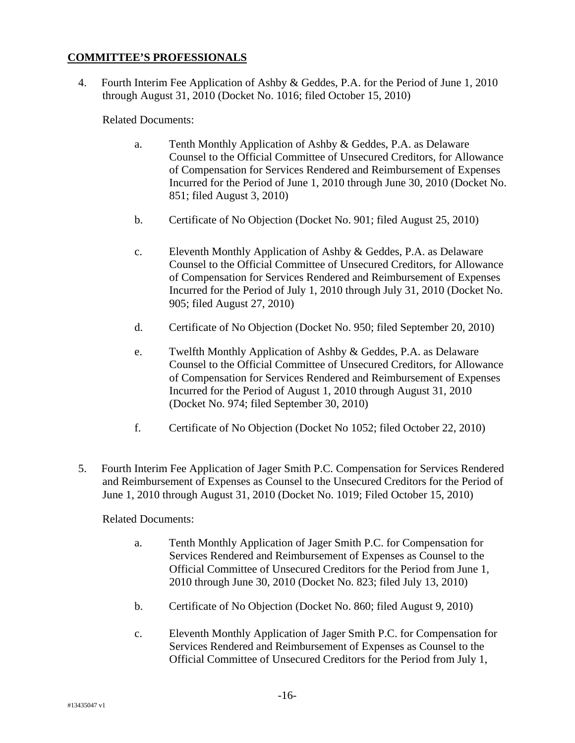# **COMMITTEE'S PROFESSIONALS**

4. Fourth Interim Fee Application of Ashby & Geddes, P.A. for the Period of June 1, 2010 through August 31, 2010 (Docket No. 1016; filed October 15, 2010)

Related Documents:

- a. Tenth Monthly Application of Ashby & Geddes, P.A. as Delaware Counsel to the Official Committee of Unsecured Creditors, for Allowance of Compensation for Services Rendered and Reimbursement of Expenses Incurred for the Period of June 1, 2010 through June 30, 2010 (Docket No. 851; filed August 3, 2010)
- b. Certificate of No Objection (Docket No. 901; filed August 25, 2010)
- c. Eleventh Monthly Application of Ashby & Geddes, P.A. as Delaware Counsel to the Official Committee of Unsecured Creditors, for Allowance of Compensation for Services Rendered and Reimbursement of Expenses Incurred for the Period of July 1, 2010 through July 31, 2010 (Docket No. 905; filed August 27, 2010)
- d. Certificate of No Objection (Docket No. 950; filed September 20, 2010)
- e. Twelfth Monthly Application of Ashby & Geddes, P.A. as Delaware Counsel to the Official Committee of Unsecured Creditors, for Allowance of Compensation for Services Rendered and Reimbursement of Expenses Incurred for the Period of August 1, 2010 through August 31, 2010 (Docket No. 974; filed September 30, 2010)
- f. Certificate of No Objection (Docket No 1052; filed October 22, 2010)
- 5. Fourth Interim Fee Application of Jager Smith P.C. Compensation for Services Rendered and Reimbursement of Expenses as Counsel to the Unsecured Creditors for the Period of June 1, 2010 through August 31, 2010 (Docket No. 1019; Filed October 15, 2010)

- a. Tenth Monthly Application of Jager Smith P.C. for Compensation for Services Rendered and Reimbursement of Expenses as Counsel to the Official Committee of Unsecured Creditors for the Period from June 1, 2010 through June 30, 2010 (Docket No. 823; filed July 13, 2010)
- b. Certificate of No Objection (Docket No. 860; filed August 9, 2010)
- c. Eleventh Monthly Application of Jager Smith P.C. for Compensation for Services Rendered and Reimbursement of Expenses as Counsel to the Official Committee of Unsecured Creditors for the Period from July 1,